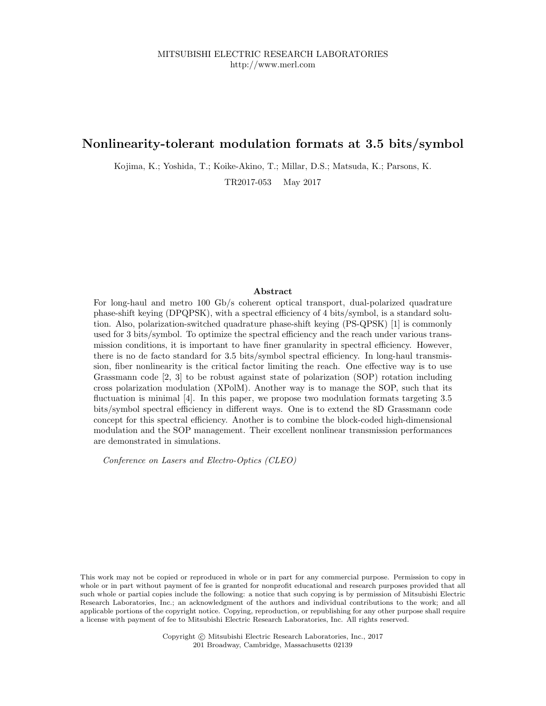## Nonlinearity-tolerant modulation formats at 3.5 bits/symbol

Kojima, K.; Yoshida, T.; Koike-Akino, T.; Millar, D.S.; Matsuda, K.; Parsons, K.

TR2017-053 May 2017

## Abstract

For long-haul and metro 100 Gb/s coherent optical transport, dual-polarized quadrature phase-shift keying (DPQPSK), with a spectral efficiency of 4 bits/symbol, is a standard solution. Also, polarization-switched quadrature phase-shift keying (PS-QPSK) [1] is commonly used for 3 bits/symbol. To optimize the spectral efficiency and the reach under various transmission conditions, it is important to have finer granularity in spectral efficiency. However, there is no de facto standard for 3.5 bits/symbol spectral efficiency. In long-haul transmission, fiber nonlinearity is the critical factor limiting the reach. One effective way is to use Grassmann code [2, 3] to be robust against state of polarization (SOP) rotation including cross polarization modulation (XPolM). Another way is to manage the SOP, such that its fluctuation is minimal [4]. In this paper, we propose two modulation formats targeting 3.5 bits/symbol spectral efficiency in different ways. One is to extend the 8D Grassmann code concept for this spectral efficiency. Another is to combine the block-coded high-dimensional modulation and the SOP management. Their excellent nonlinear transmission performances are demonstrated in simulations.

Conference on Lasers and Electro-Optics (CLEO)

This work may not be copied or reproduced in whole or in part for any commercial purpose. Permission to copy in whole or in part without payment of fee is granted for nonprofit educational and research purposes provided that all such whole or partial copies include the following: a notice that such copying is by permission of Mitsubishi Electric Research Laboratories, Inc.; an acknowledgment of the authors and individual contributions to the work; and all applicable portions of the copyright notice. Copying, reproduction, or republishing for any other purpose shall require a license with payment of fee to Mitsubishi Electric Research Laboratories, Inc. All rights reserved.

> Copyright © Mitsubishi Electric Research Laboratories, Inc., 2017 201 Broadway, Cambridge, Massachusetts 02139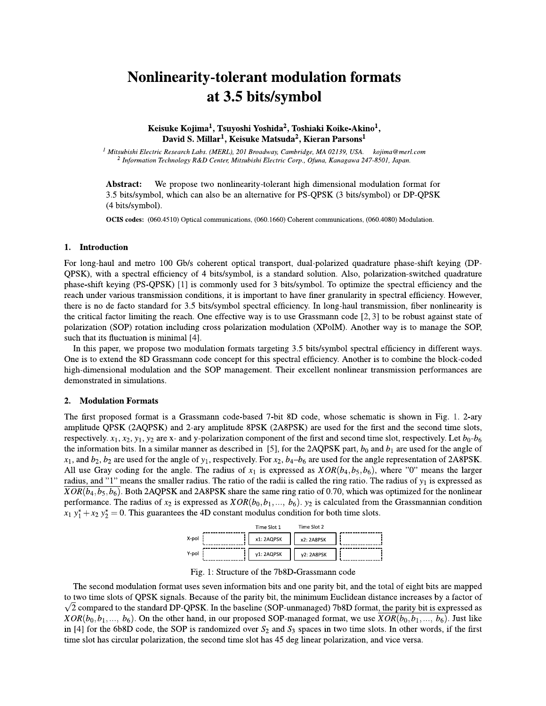# **Nonlinearity-tolerant modulation formats** at 3.5 bits/symbol

## Keisuke Kojima<sup>1</sup>, Tsuyoshi Yoshida<sup>2</sup>, Toshiaki Koike-Akino<sup>1</sup>, David S. Millar<sup>1</sup>, Keisuke Matsuda<sup>2</sup>, Kieran Parsons<sup>1</sup>

 $^1$  Mitsubishi Electric Research Labs. (MERL), 201 Broadway, Cambridge, MA 02139, USA. kojima@merl.com <sup>2</sup> Information Technology R&D Center, Mitsubishi Electric Corp., Ofuna, Kanagawa 247-8501, Japan.

We propose two nonlinearity-tolerant high dimensional modulation format for Abstract: 3.5 bits/symbol, which can also be an alternative for PS-QPSK (3 bits/symbol) or DP-QPSK (4 bits/symbol).

OCIS codes: (060.4510) Optical communications, (060.1660) Coherent communications, (060.4080) Modulation.

### 1. Introduction

For long-haul and metro 100 Gb/s coherent optical transport, dual-polarized quadrature phase-shift keying (DP-QPSK), with a spectral efficiency of 4 bits/symbol, is a standard solution. Also, polarization-switched quadrature phase-shift keying (PS-QPSK) [1] is commonly used for 3 bits/symbol. To optimize the spectral efficiency and the reach under various transmission conditions, it is important to have finer granularity in spectral efficiency. However, there is no de facto standard for 3.5 bits/symbol spectral efficiency. In long-haul transmission, fiber nonlinearity is the critical factor limiting the reach. One effective way is to use Grassmann code  $[2,3]$  to be robust against state of polarization (SOP) rotation including cross polarization modulation (XPolM). Another way is to manage the SOP, such that its fluctuation is minimal [4].

In this paper, we propose two modulation formats targeting 3.5 bits/symbol spectral efficiency in different ways. One is to extend the 8D Grassmann code concept for this spectral efficiency. Another is to combine the block-coded high-dimensional modulation and the SOP management. Their excellent nonlinear transmission performances are demonstrated in simulations.

#### $2.$ **Modulation Formats**

The first proposed format is a Grassmann code-based 7-bit 8D code, whose schematic is shown in Fig. 1. 2-ary amplitude QPSK (2AQPSK) and 2-ary amplitude 8PSK (2A8PSK) are used for the first and the second time slots, respectively.  $x_1, x_2, y_1, y_2$  are x- and y-polarization component of the first and second time slot, respectively. Let  $b_0$ - $b_6$ the information bits. In a similar manner as described in [5], for the 2AQPSK part,  $b_0$  and  $b_1$  are used for the angle of  $x_1$ , and  $b_2$ ,  $b_2$  are used for the angle of  $y_1$ , respectively. For  $x_2$ ,  $b_4-b_6$  are used for the angle representation of 2A8PSK. All use Gray coding for the angle. The radius of  $x_1$  is expressed as  $XOR(b_4, b_5, b_6)$ , where "0" means the larger radius, and "1" means the smaller radius. The ratio of the radii is called the ring ratio. The radius of  $y_1$  is expressed as  $XOR(b_4, b_5, b_6)$ . Both 2AQPSK and 2A8PSK share the same ring ratio of 0.70, which was optimized for the nonlinear performance. The radius of  $x_2$  is expressed as  $XOR(b_0, b_1, ..., b_6)$ .  $y_2$  is calculated from the Grassmannian condition  $x_1 y_1^* + x_2 y_2^* = 0$ . This guarantees the 4D constant modulus condition for both time slots.

|       | Time Slot 1 | Time Slot 2 |  |
|-------|-------------|-------------|--|
| X-pol | x1: 2AQPSK  | x2: 2A8PSK  |  |
| V-pol | v1: 2AQPSK  | v2: 2A8PSK  |  |

Fig. 1: Structure of the 7b8D-Grassmann code

The second modulation format uses seven information bits and one parity bit, and the total of eight bits are mapped to two time slots of QPSK signals. Because of the parity bit, the minimum Euclidean distance increases by a factor of  $\sqrt{2}$  compared to the standard DP-QPSK. In the baseline (SOP-unmanaged) 7b8D format, the parity bit is expressed as  $XOR(b_0, b_1, ..., b_6)$ . On the other hand, in our proposed SOP-managed format, we use  $XOR(b_0, b_1, ..., b_6)$ . Just like in [4] for the 6b8D code, the SOP is randomized over  $S_2$  and  $S_3$  spaces in two time slots. In other words, if the first time slot has circular polarization, the second time slot has 45 deg linear polarization, and vice versa.